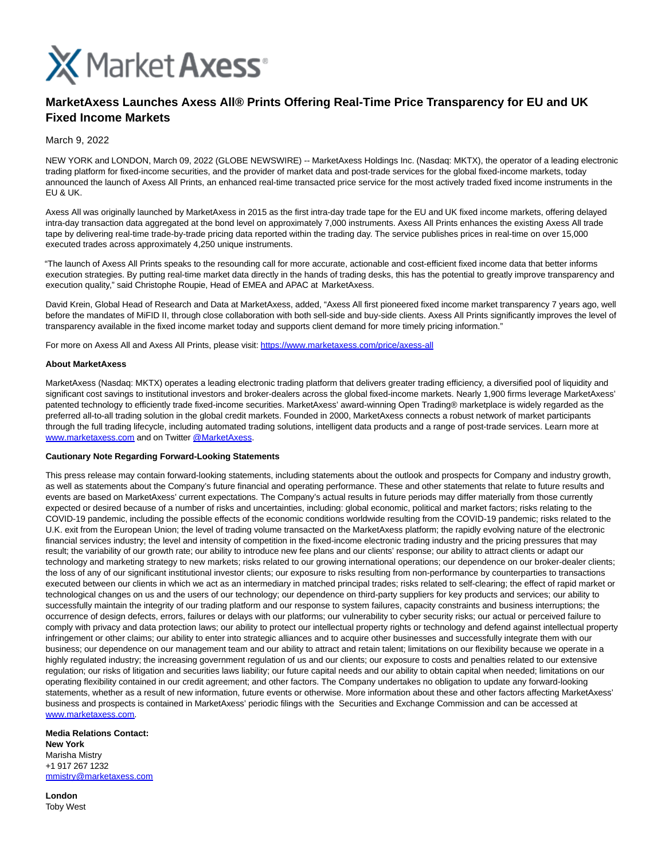

# **MarketAxess Launches Axess All® Prints Offering Real-Time Price Transparency for EU and UK Fixed Income Markets**

## March 9, 2022

NEW YORK and LONDON, March 09, 2022 (GLOBE NEWSWIRE) -- MarketAxess Holdings Inc. (Nasdaq: MKTX), the operator of a leading electronic trading platform for fixed-income securities, and the provider of market data and post-trade services for the global fixed-income markets, today announced the launch of Axess All Prints, an enhanced real-time transacted price service for the most actively traded fixed income instruments in the EU & UK.

Axess All was originally launched by MarketAxess in 2015 as the first intra-day trade tape for the EU and UK fixed income markets, offering delayed intra-day transaction data aggregated at the bond level on approximately 7,000 instruments. Axess All Prints enhances the existing Axess All trade tape by delivering real-time trade-by-trade pricing data reported within the trading day. The service publishes prices in real-time on over 15,000 executed trades across approximately 4,250 unique instruments.

"The launch of Axess All Prints speaks to the resounding call for more accurate, actionable and cost-efficient fixed income data that better informs execution strategies. By putting real-time market data directly in the hands of trading desks, this has the potential to greatly improve transparency and execution quality," said Christophe Roupie, Head of EMEA and APAC at MarketAxess.

David Krein, Global Head of Research and Data at MarketAxess, added, "Axess All first pioneered fixed income market transparency 7 years ago, well before the mandates of MiFID II, through close collaboration with both sell-side and buy-side clients. Axess All Prints significantly improves the level of transparency available in the fixed income market today and supports client demand for more timely pricing information."

For more on Axess All and Axess All Prints, please visit[: https://www.marketaxess.com/price/axess-all](https://www.globenewswire.com/Tracker?data=louL_7VK2rBD6x-fInjy3uJ28X63EFD62SMqFxLCl0mVRrbJG3hiD0Xy3-04vtK1lcF1x2MB0h68IOhw7ZzNKy5bT3mVRcjgzlLkH499-rsCmv5FTYNX1NRa5xhlpCMz23_XPkTkjw31rWsXsHLyDQ==)

### **About MarketAxess**

MarketAxess (Nasdaq: MKTX) operates a leading electronic trading platform that delivers greater trading efficiency, a diversified pool of liquidity and significant cost savings to institutional investors and broker-dealers across the global fixed-income markets. Nearly 1,900 firms leverage MarketAxess' patented technology to efficiently trade fixed-income securities. MarketAxess' award-winning Open Trading® marketplace is widely regarded as the preferred all-to-all trading solution in the global credit markets. Founded in 2000, MarketAxess connects a robust network of market participants through the full trading lifecycle, including automated trading solutions, intelligent data products and a range of post-trade services. Learn more at [www.marketaxess.com a](https://www.globenewswire.com/Tracker?data=xEHM2k29tRcn50dkSkSI2vH3J5K-Y-IAHibUU5tNdCHXUwcmk5IRkTt2_UR_bZdbcgsqJxwoihTYqA-CpWPlsUmcQ-3erbhPQ40LYxR58mc=)nd on Twitter [@MarketAxess.](https://www.globenewswire.com/Tracker?data=qSJD6h3gmRyHSrMr3G7e1NcSuTpzts5JEnrpEqy-PtXrWCBO4kdGuv6OYbYxng38-L2yAksKwehXb9EX8SMYRUTrbDh3XRn-023HL7pBDdM=)

### **Cautionary Note Regarding Forward-Looking Statements**

This press release may contain forward-looking statements, including statements about the outlook and prospects for Company and industry growth, as well as statements about the Company's future financial and operating performance. These and other statements that relate to future results and events are based on MarketAxess' current expectations. The Company's actual results in future periods may differ materially from those currently expected or desired because of a number of risks and uncertainties, including: global economic, political and market factors; risks relating to the COVID-19 pandemic, including the possible effects of the economic conditions worldwide resulting from the COVID-19 pandemic; risks related to the U.K. exit from the European Union; the level of trading volume transacted on the MarketAxess platform; the rapidly evolving nature of the electronic financial services industry; the level and intensity of competition in the fixed-income electronic trading industry and the pricing pressures that may result; the variability of our growth rate; our ability to introduce new fee plans and our clients' response; our ability to attract clients or adapt our technology and marketing strategy to new markets; risks related to our growing international operations; our dependence on our broker-dealer clients; the loss of any of our significant institutional investor clients; our exposure to risks resulting from non-performance by counterparties to transactions executed between our clients in which we act as an intermediary in matched principal trades; risks related to self-clearing; the effect of rapid market or technological changes on us and the users of our technology; our dependence on third-party suppliers for key products and services; our ability to successfully maintain the integrity of our trading platform and our response to system failures, capacity constraints and business interruptions; the occurrence of design defects, errors, failures or delays with our platforms; our vulnerability to cyber security risks; our actual or perceived failure to comply with privacy and data protection laws; our ability to protect our intellectual property rights or technology and defend against intellectual property infringement or other claims; our ability to enter into strategic alliances and to acquire other businesses and successfully integrate them with our business; our dependence on our management team and our ability to attract and retain talent; limitations on our flexibility because we operate in a highly regulated industry; the increasing government regulation of us and our clients; our exposure to costs and penalties related to our extensive regulation; our risks of litigation and securities laws liability; our future capital needs and our ability to obtain capital when needed; limitations on our operating flexibility contained in our credit agreement; and other factors. The Company undertakes no obligation to update any forward-looking statements, whether as a result of new information, future events or otherwise. More information about these and other factors affecting MarketAxess' business and prospects is contained in MarketAxess' periodic filings with the Securities and Exchange Commission and can be accessed at [www.marketaxess.com.](https://www.globenewswire.com/Tracker?data=xEHM2k29tRcn50dkSkSI2iB5EFlOMysEIeSxwMm9vFhRZHQxQKkHaW-da4en2SLC0qA1k0jSpSCQcEgmiI1CoXbc6eE8Xs5ovwvz1whqjdQ=) 

#### **Media Relations Contact: New York** Marisha Mistry +1 917 267 1232 [mmistry@marketaxess.com](https://www.globenewswire.com/Tracker?data=4UpqU5CoVSjY05IFUOhYPo_6bBdx_6io42XWXPCfhW_7geWRFB1hASG1epFAXCoK4JeKDXWXgVmL8BU8bN9ThmSqHqqNdAQNCMzkLepZlZE=)

**London** Toby West